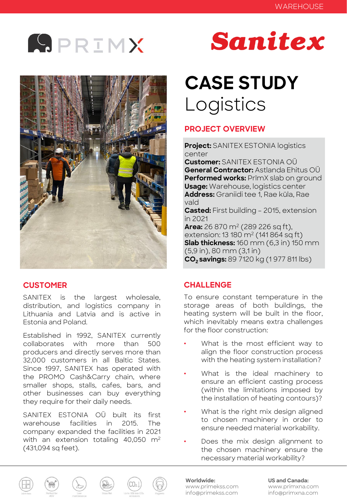



## **CUSTOMER**

SANITEX is the largest wholesale, distribution, and logistics company in Lithuania and Latvia and is active in Estonia and Poland.

Established in 1992, SANITEX currently collaborates with more than 500 producers and directly serves more than 32,000 customers in all Baltic States. Since 1997, SANITEX has operated with the PROMO Cash&Carry chain, where smaller shops, stalls, cafes, bars, and other businesses can buy everything they require for their daily needs.

SANITEX ESTONIA OÜ built its first warehouse facilities in 2015. The company expanded the facilities in 2021 with an extension totaling 40,050 m<sup>2</sup> (431,094 sq feet).

# Sanitex

## **CASE STUDY** Logistics

## **PROJECT OVERVIEW**

**Project:** SANITEX ESTONIA logistics center

**Customer:** SANITEX ESTONIA OÜ **General Contractor:** Astlanda Ehitus OÜ **Performed works:** PrīmX slab on ground **Usage:** Warehouse, logistics center **Address:** Graniidi tee 1, Rae küla, Rae vald

**Casted:** First building – 2015, extension in 2021

**Area:** 26 870 m<sup>2</sup> (289 226 sq ft), extension: 13 180 m<sup>2</sup> (141 864 sq ft) **Slab thickness:** 160 mm (6,3 in) 150 mm (5,9 in), 80 mm (3,1 in) **CO2 savings:** 89 7120 kg (1 977 811 lbs)

## **CHALLENGE**

To ensure constant temperature in the storage areas of both buildings, the heating system will be built in the floor, which inevitably means extra challenges for the floor construction:

- What is the most efficient way to align the floor construction process with the heating system installation?
- What is the ideal machinery to ensure an efficient casting process (within the limitations imposed by the installation of heating contours)?
- What is the right mix design aligned to chosen machinery in order to ensure needed material workability.
- Does the mix design alignment to the chosen machinery ensure the necessary material workability?